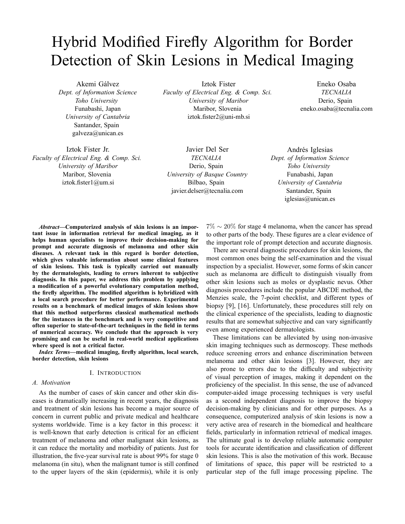# Hybrid Modified Firefly Algorithm for Border Detection of Skin Lesions in Medical Imaging

Akemi Gálvez *Dept. of Information Science Toho University* Funabashi, Japan *University of Cantabria* Santander, Spain galveza@unican.es

Iztok Fister Jr. *Faculty of Electrical Eng. & Comp. Sci. University of Maribor* Maribor, Slovenia iztok.fister1@um.si

Iztok Fister *Faculty of Electrical Eng. & Comp. Sci. University of Maribor* Maribor, Slovenia iztok.fister2@uni-mb.si

Javier Del Ser *TECNALIA* Derio, Spain *University of Basque Country* Bilbao, Spain javier.delser@tecnalia.com

Eneko Osaba *TECNALIA* Derio, Spain eneko.osaba@tecnalia.com

Andrés Iglesias *Dept. of Information Science Toho University* Funabashi, Japan *University of Cantabria* Santander, Spain iglesias@unican.es

*Abstract***—Computerized analysis of skin lesions is an important issue in information retrieval for medical imaging, as it helps human specialists to improve their decision-making for prompt and accurate diagnosis of melanoma and other skin diseases. A relevant task in this regard is border detection, which gives valuable information about some clinical features of skin lesions. This task is typically carried out manually by the dermatologists, leading to errors inherent to subjective diagnosis. In this paper, we address this problem by applying a modification of a powerful evolutionary computation method, the firefly algorithm. The modified algorithm is hybridized with a local search procedure for better performance. Experimental results on a benchmark of medical images of skin lesions show that this method outperforms classical mathematical methods for the instances in the benchmark and is very competitive and often superior to state-of-the-art techniques in the field in terms of numerical accuracy. We conclude that the approach is very promising and can be useful in real-world medical applications where speed is not a critical factor.**

*Index Terms***—medical imaging, firefly algorithm, local search, border detection, skin lesions**

#### I. INTRODUCTION

#### *A. Motivation*

As the number of cases of skin cancer and other skin diseases is dramatically increasing in recent years, the diagnosis and treatment of skin lesions has become a major source of concern in current public and private medical and healthcare systems worldwide. Time is a key factor in this process: it is well-known that early detection is critical for an efficient treatment of melanoma and other malignant skin lesions, as it can reduce the mortality and morbidity of patients. Just for illustration, the five-year survival rate is about 99% for stage 0 melanoma (in situ), when the malignant tumor is still confined to the upper layers of the skin (epidermis), while it is only

 $7\% \sim 20\%$  for stage 4 melanoma, when the cancer has spread to other parts of the body. These figures are a clear evidence of the important role of prompt detection and accurate diagnosis.

There are several diagnostic procedures for skin lesions, the most common ones being the self-examination and the visual inspection by a specialist. However, some forms of skin cancer such as melanoma are difficult to distinguish visually from other skin lesions such as moles or dysplastic nevus. Other diagnosis procedures include the popular ABCDE method, the Menzies scale, the 7-point checklist, and different types of biopsy [9], [16]. Unfortunately, these procedures still rely on the clinical experience of the specialists, leading to diagnostic results that are somewhat subjective and can vary significantly even among experienced dermatologists.

These limitations can be alleviated by using non-invasive skin imaging techniques such as dermoscopy. These methods reduce screening errors and enhance discrimination between melanoma and other skin lesions [3]. However, they are also prone to errors due to the difficulty and subjectivity of visual perception of images, making it dependent on the proficiency of the specialist. In this sense, the use of advanced computer-aided image processing techniques is very useful as a second independent diagnosis to improve the biopsy decision-making by clinicians and for other purposes. As a consequence, computerized analysis of skin lesions is now a very active area of research in the biomedical and healthcare fields, particularly in information retrieval of medical images. The ultimate goal is to develop reliable automatic computer tools for accurate identification and classification of different skin lesions. This is also the motivation of this work. Because of limitations of space, this paper will be restricted to a particular step of the full image processing pipeline. The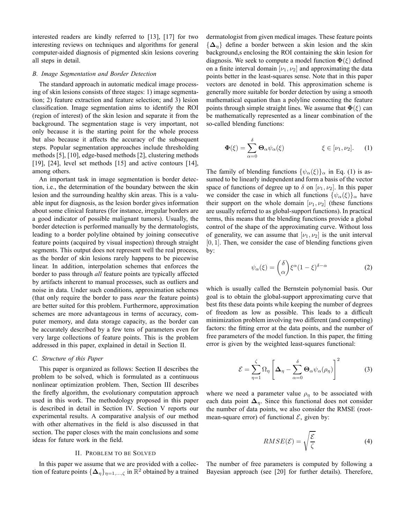interested readers are kindly referred to [13], [17] for two interesting reviews on techniques and algorithms for general computer-aided diagnosis of pigmented skin lesions covering all steps in detail.

#### *B. Image Segmentation and Border Detection*

The standard approach in automatic medical image processing of skin lesions consists of three stages: 1) image segmentation; 2) feature extraction and feature selection; and 3) lesion classification. Image segmentation aims to identify the ROI (region of interest) of the skin lesion and separate it from the background. The segmentation stage is very important, not only because it is the starting point for the whole process but also because it affects the accuracy of the subsequent steps. Popular segmentation approaches include thresholding methods [5], [10], edge-based methods [2], clustering methods [19], [24], level set methods [15] and active contours [14], among others.

An important task in image segmentation is border detection, i.e., the determination of the boundary between the skin lesion and the surrounding healthy skin areas. This is a valuable input for diagnosis, as the lesion border gives information about some clinical features (for instance, irregular borders are a good indicator of possible malignant tumors). Usually, the border detection is performed manually by the dermatologists, leading to a border polyline obtained by joining consecutive feature points (acquired by visual inspection) through straight segments. This output does not represent well the real process, as the border of skin lesions rarely happens to be piecewise linear. In addition, interpolation schemes that enforces the border to pass through *all* feature points are typically affected by artifacts inherent to manual processes, such as outliers and noise in data. Under such conditions, approximation schemes (that only require the border to pass *near* the feature points) are better suited for this problem. Furthermore, approximation schemes are more advantageous in terms of accuracy, computer memory, and data storage capacity, as the border can be accurately described by a few tens of parameters even for very large collections of feature points. This is the problem addressed in this paper, explained in detail in Section II.

## *C. Structure of this Paper*

This paper is organized as follows: Section II describes the problem to be solved, which is formulated as a continuous nonlinear optimization problem. Then, Section III describes the firefly algorithm, the evolutionary computation approach used in this work. The methodology proposed in this paper is described in detail in Section IV. Section V reports our experimental results. A comparative analysis of our method with other alternatives in the field is also discussed in that section. The paper closes with the main conclusions and some ideas for future work in the field.

#### II. PROBLEM TO BE SOLVED

In this paper we assume that we are provided with a collection of feature points  $\{\boldsymbol{\Delta}_{\eta}\}_{\eta=1,\dots,\zeta}$  in  $\mathbb{R}^2$  obtained by a trained dermatologist from given medical images. These feature points  ${\{\Delta_n\}}$  define a border between a skin lesion and the skin background,s enclosing the ROI containing the skin lesion for diagnosis. We seek to compute a model function  $\Phi(\xi)$  defined on a finite interval domain  $[\nu_1, \nu_2]$  and approximating the data points better in the least-squares sense. Note that in this paper vectors are denoted in bold. This approximation scheme is generally more suitable for border detection by using a smooth mathematical equation than a polyline connecting the feature points through simple straight lines. We assume that  $\Phi(\xi)$  can be mathematically represented as a linear combination of the so-called blending functions:

$$
\Phi(\xi) = \sum_{\alpha=0}^{\delta} \Theta_{\alpha} \psi_{\alpha}(\xi) \qquad \xi \in [\nu_1, \nu_2]. \qquad (1)
$$

The family of blending functions  $\{\psi_{\alpha}(\xi)\}_{\alpha}$  in Eq. (1) is assumed to be linearly independent and form a basis of the vector space of functions of degree up to  $\delta$  on  $[\nu_1, \nu_2]$ . In this paper we consider the case in which all functions  $\{\psi_{\alpha}(\xi)\}_{\alpha}$  have their support on the whole domain  $[\nu_1, \nu_2]$  (these functions are usually referred to as global-support functions). In practical terms, this means that the blending functions provide a global control of the shape of the approximating curve. Without loss of generality, we can assume that  $[\nu_1, \nu_2]$  is the unit interval  $[0, 1]$ . Then, we consider the case of blending functions given by:

$$
\psi_{\alpha}(\xi) = \binom{\delta}{\alpha} \xi^{\alpha} (1 - \xi)^{\delta - \alpha} \tag{2}
$$

which is usually called the Bernstein polynomial basis. Our goal is to obtain the global-support approximating curve that best fits these data points while keeping the number of degrees of freedom as low as possible. This leads to a difficult minimization problem involving two different (and competing) factors: the fitting error at the data points, and the number of free parameters of the model function. In this paper, the fitting error is given by the weighted least-squares functional:

$$
\mathcal{E} = \sum_{\eta=1}^{\zeta} \Omega_{\eta} \left[ \Delta_{\eta} - \sum_{\alpha=0}^{\delta} \Theta_{\alpha} \psi_{\alpha}(\rho_{\eta}) \right]^{2} \tag{3}
$$

where we need a parameter value  $\rho_{\eta}$  to be associated with each data point  $\Delta_n$ . Since this functional does not consider the number of data points, we also consider the RMSE (rootmean-square error) of functional  $\mathcal{E}$ , given by:

$$
RMSE(\mathcal{E}) = \sqrt{\frac{\mathcal{E}}{\zeta}}
$$
 (4)

The number of free parameters is computed by following a Bayesian approach (see [20] for further details). Therefore,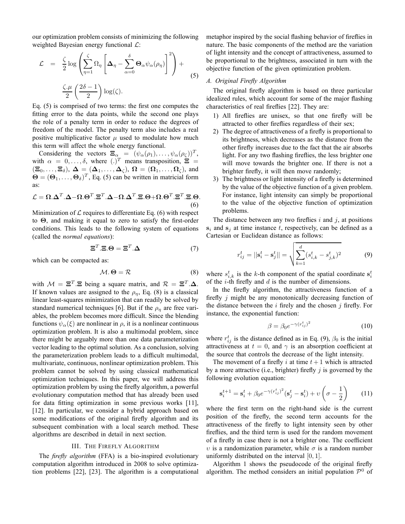our optimization problem consists of minimizing the following weighted Bayesian energy functional  $\mathcal{L}$ :

$$
\mathcal{L} = \frac{\zeta}{2} \log \left( \sum_{\eta=1}^{\zeta} \Omega_{\eta} \left[ \Delta_{\eta} - \sum_{\alpha=0}^{\delta} \Theta_{\alpha} \psi_{\alpha}(\rho_{\eta}) \right]^{2} \right) + \frac{\zeta \cdot \mu}{2} \left( \frac{2\delta - 1}{2} \right) \log(\zeta).
$$
\n(5)

Eq. (5) is comprised of two terms: the first one computes the fitting error to the data points, while the second one plays the role of a penalty term in order to reduce the degrees of freedom of the model. The penalty term also includes a real positive multiplicative factor  $\mu$  used to modulate how much this term will affect the whole energy functional.

Considering the vectors  $\Xi_{\alpha} = (\psi_{\alpha}(\rho_1), \dots, \psi_{\alpha}(\rho_{\zeta}))^T$ , with  $\alpha = 0, \ldots, \delta$ , where  $(.)^T$  means transposition,  $\Xi$  =  $(\Xi_0,\ldots,\Xi_\delta), \Delta = (\Delta_1,\ldots,\Delta_\zeta), \Omega = (\Omega_1,\ldots,\Omega_\zeta),$  and  $\Theta = (\Theta_1, \dots, \Theta_\delta)^T$ , Eq. (5) can be written in matricial form as:

$$
\mathcal{L} = \Omega \cdot \Delta^T \cdot \Delta - \Omega \cdot \Theta^T \cdot \Xi^T \cdot \Delta - \Omega \cdot \Delta^T \cdot \Xi \cdot \Theta + \Omega \cdot \Theta^T \cdot \Xi^T \cdot \Xi \cdot \Theta.
$$
\n(6)

Minimization of  $\mathcal L$  requires to differentiate Eq. (6) with respect to Θ, and making it equal to zero to satisfy the first-order conditions. This leads to the following system of equations (called the *normal equations*):

$$
\Xi^T \cdot \Xi \cdot \Theta = \Xi^T \cdot \Delta \tag{7}
$$

which can be compacted as:

$$
M.\,\Theta = \mathcal{R} \tag{8}
$$

with  $M = \Xi^T \Xi$  being a square matrix, and  $\mathcal{R} = \Xi^T \Delta$ . If known values are assigned to the  $\rho_{\eta}$ , Eq. (8) is a classical linear least-squares minimization that can readily be solved by standard numerical techniques [6]. But if the  $\rho_{\eta}$  are free variables, the problem becomes more difficult. Since the blending functions  $\psi_{\alpha}(\xi)$  are nonlinear in  $\rho$ , it is a nonlinear continuous optimization problem. It is also a multimodal problem, since there might be arguably more than one data parameterization vector leading to the optimal solution. As a conclusion, solving the parameterization problem leads to a difficult multimodal, multivariate, continuous, nonlinear optimization problem. This problem cannot be solved by using classical mathematical optimization techniques. In this paper, we will address this optimization problem by using the firefly algorithm, a powerful evolutionary computation method that has already been used for data fitting optimization in some previous works [11], [12]. In particular, we consider a hybrid approach based on some modifications of the original firefly algorithm and its subsequent combination with a local search method. These algorithms are described in detail in next section.

#### III. THE FIREFLY ALGORITHM

The *firefly algorithm* (FFA) is a bio-inspired evolutionary computation algorithm introduced in 2008 to solve optimization problems [22], [23]. The algorithm is a computational metaphor inspired by the social flashing behavior of fireflies in nature. The basic components of the method are the variation of light intensity and the concept of attractiveness, assumed to be proportional to the brightness, associated in turn with the objective function of the given optimization problem.

## *A. Original Firefly Algorithm*

The original firefly algorithm is based on three particular idealized rules, which account for some of the major flashing characteristics of real fireflies [22]. They are:

- 1) All fireflies are unisex, so that one firefly will be attracted to other fireflies regardless of their sex;
- 2) The degree of attractiveness of a firefly is proportional to its brightness, which decreases as the distance from the other firefly increases due to the fact that the air absorbs light. For any two flashing fireflies, the less brighter one will move towards the brighter one. If there is not a brighter firefly, it will then move randomly;
- 3) The brightness or light intensity of a firefly is determined by the value of the objective function of a given problem. For instance, light intensity can simply be proportional to the value of the objective function of optimization problems.

The distance between any two fireflies  $i$  and  $j$ , at positions  $s_i$  and  $s_j$  at time instance t, respectively, can be defined as a Cartesian or Euclidean distance as follows:

$$
r_{ij}^t = ||\mathbf{s}_i^t - \mathbf{s}_j^t|| = \sqrt{\sum_{k=1}^d (s_{i,k}^t - s_{j,k}^t)^2}
$$
(9)

where  $s_{i,k}^t$  is the k-th component of the spatial coordinate  $s_i^t$ of the *i*-th firefly and  $d$  is the number of dimensions.

In the firefly algorithm, the attractiveness function of a firefly j might be any monotonically decreasing function of the distance between the  $i$  firely and the chosen  $j$  firefly. For instance, the exponential function:

$$
\beta = \beta_0 e^{-\gamma (r_{ij}^t)^2} \tag{10}
$$

where  $r_{ij}^t$  is the distance defined as in Eq. (9),  $\beta_0$  is the initial attractiveness at  $t = 0$ , and  $\gamma$  is an absorption coefficient at the source that controls the decrease of the light intensity.

The movement of a firefly i at time  $t + 1$  which is attracted by a more attractive (i.e., brighter) firefly  $i$  is governed by the following evolution equation:

$$
\mathbf{s}_{i}^{t+1} = \mathbf{s}_{i}^{t} + \beta_{0} e^{-\gamma (r_{ij}^{t})^{2}} (\mathbf{s}_{j}^{t} - \mathbf{s}_{i}^{t}) + \upsilon \left(\sigma - \frac{1}{2}\right)
$$
 (11)

where the first term on the right-hand side is the current position of the firefly, the second term accounts for the attractiveness of the firefly to light intensity seen by other fireflies, and the third term is used for the random movement of a firefly in case there is not a brighter one. The coefficient  $ν$  is a randomization parameter, while  $σ$  is a random number uniformly distributed on the interval [0, 1].

Algorithm 1 shows the pseudocode of the original firefly algorithm. The method considers an initial population  $\mathcal{P}^0$  of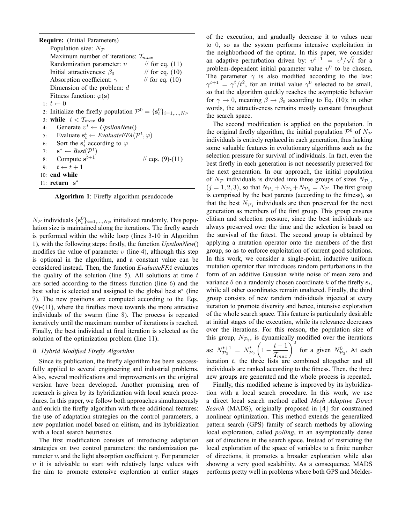**Require:** (Initial Parameters) Population size:  $N_{\mathcal{P}}$ Maximum number of iterations:  $T_{max}$ <br>Randomization parameter:  $v$  // for eq. (11) Randomization parameter:  $v$  // for eq. (11)<br>Initial attractiveness:  $\beta_0$  // for eq. (10) Initial attractiveness:  $\beta_0$ Absorption coefficient:  $\gamma$  // for eq. (10) Dimension of the problem: d Fitness function:  $\varphi(s)$ 1:  $t \leftarrow 0$ 2: Initialize the firefly population  $\mathcal{P}^0 = \{ \mathbf{s}_i^0 \}_{i=1,...,N_{\mathcal{P}}}$ 3: **while**  $t < T_{max}$  **do**<br>4: Generate  $v^t \leftarrow U_t$ 4: Generate  $v^t \leftarrow Upsilon$ 5: Evaluate  $\mathbf{s}_i^t \leftarrow EvaluateFFA(\mathcal{P}^t, \varphi)$ 6: Sort the  $\mathbf{s}_i^t$  according to  $\varphi$ 7:  $\mathbf{s}^* \leftarrow Best(\mathcal{P}^t)$ 8: Compute  $s^{t+1}$  $\frac{1}{2}$  eqs. (9)-(11) 9:  $t \leftarrow t + 1$ 10: **end while** 11: **return** s ∗

**Algorithm 1**: Firefly algorithm pseudocode

 $N_{\mathcal{P}}$  individuals  $\{s_i^0\}_{i=1,\dots,N_{\mathcal{P}}}$  initialized randomly. This population size is maintained along the iterations. The firefly search is performed within the while loop (lines 3-10 in Algorithm 1), with the following steps: firstly, the function *UpsilonNew*() modifies the value of parameter  $v$  (line 4), although this step is optional in the algorithm, and a constant value can be considered instead. Then, the function *EvaluateFFA* evaluates the quality of the solution (line 5). All solutions at time  $t$ are sorted according to the fitness function (line 6) and the best value is selected and assigned to the global best s<sup>\*</sup> (line 7). The new positions are computed according to the Eqs.  $(9)-(11)$ , where the fireflies move towards the more attractive individuals of the swarm (line 8). The process is repeated iteratively until the maximum number of iterations is reached. Finally, the best individual at final iteration is selected as the solution of the optimization problem (line 11).

# *B. Hybrid Modified Firefly Algorithm*

Since its publication, the firefly algorithm has been successfully applied to several engineering and industrial problems. Also, several modifications and improvements on the original version have been developed. Another promising area of research is given by its hybridization with local search procedures. In this paper, we follow both approaches simultaneously and enrich the firefly algorithm with three additional features: the use of adaptation strategies on the control parameters, a new population model based on elitism, and its hybridization with a local search heuristics.

The first modification consists of introducing adaptation strategies on two control parameters: the randomization parameter  $v$ , and the light absorption coefficient  $\gamma$ . For parameter  $v$  it is advisable to start with relatively large values with the aim to promote extensive exploration at earlier stages of the execution, and gradually decrease it to values near to 0, so as the system performs intensive exploitation in the neighborhood of the optima. In this paper, we consider an adaptive perturbation driven by:  $v^{t+1} = v^t / \sqrt{t}$  for a problem-dependent initial parameter value  $v^0$  to be chosen. The parameter  $\gamma$  is also modified according to the law:  $\gamma^{t+1} = \gamma^t/t^2$ , for an initial value  $\gamma^0$  selected to be small, so that the algorithm quickly reaches the asymptotic behavior for  $\gamma \to 0$ , meaning  $\beta \to \beta_0$  according to Eq. (10); in other words, the attractiveness remains mostly constant throughout the search space.

The second modification is applied on the population. In the original firefly algorithm, the initial population  $\mathcal{P}^0$  of  $N_{\mathcal{P}}$ individuals is entirely replaced in each generation, thus lacking some valuable features in evolutionary algorithms such as the selection pressure for survival of individuals. In fact, even the best firefly in each generation is not necessarily preserved for the next generation. In our approach, the initial population of  $N_{\mathcal{P}}$  individuals is divided into three groups of sizes  $N_{\mathcal{P}_j}$ ,  $(j = 1, 2, 3)$ , so that  $N_{\mathcal{P}_1} + N_{\mathcal{P}_2} + N_{\mathcal{P}_3} = N_{\mathcal{P}}$ . The first group is comprised by the best parents (according to the fitness), so that the best  $N_{\mathcal{P}_1}$  individuals are then preserved for the next generation as members of the first group. This group ensures elitism and selection pressure, since the best individuals are always preserved over the time and the selection is based on the survival of the fittest. The second group is obtained by applying a mutation operator onto the members of the first group, so as to enforce exploitation of current good solutions. In this work, we consider a single-point, inductive uniform mutation operator that introduces random perturbations in the form of an additive Gaussian white noise of mean zero and variance  $\theta$  on a randomly chosen coordinate k of the firefly  $s_i$ , while all other coordinates remain unaltered. Finally, the third group consists of new random individuals injected at every iteration to promote diversity and hence, intensive exploration of the whole search space. This feature is particularly desirable at initial stages of the execution, while its relevance decreases over the iterations. For this reason, the population size of this group,  $N_{\mathcal{P}_3}$ , is dynamically modified over the iterations as:  $N_{\mathcal{P}_3}^{t+1} = N_{\mathcal{P}_3}^t \left( 1 - \frac{t-1}{\mathcal{I}_{max}} \right)^2$ for a given  $N_{\mathcal{P}_3}^0$ . At each iteration  $t$ , the three lists are combined altogether and all individuals are ranked according to the fitness. Then, the three new groups are generated and the whole process is repeated.

Finally, this modified scheme is improved by its hybridization with a local search procedure. In this work, we use a direct local search method called *Mesh Adaptive Direct Search* (MADS), originally proposed in [4] for constrained nonlinear optimization. This method extends the generalized pattern search (GPS) family of search methods by allowing local exploration, called *polling*, in an asymptotically dense set of directions in the search space. Instead of restricting the local exploration of the space of variables to a finite number of directions, it promotes a broader exploration while also showing a very good scalability. As a consequence, MADS performs pretty well in problems where both GPS and Melder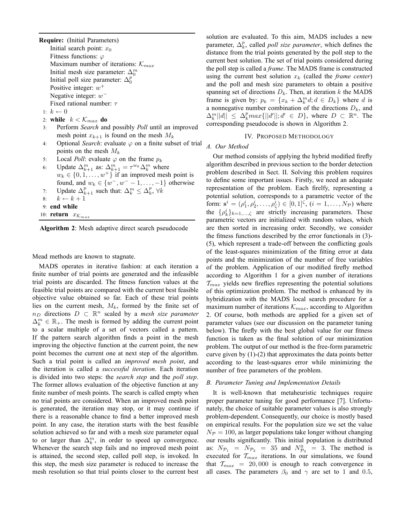**Require:** (Initial Parameters) Initial search point:  $x_0$ Fitness functions:  $\varphi$ Maximum number of iterations:  $\mathcal{K}_{max}$ Initial mesh size parameter:  $\Delta_0^m$ Initial poll size parameter:  $\Delta_0^p$ Positive integer:  $w^+$ Negative integer:  $w^-$ Fixed rational number:  $\tau$ 1:  $k \leftarrow 0$ 2: **while**  $k < \mathcal{K}_{max}$  **do**<br>3: **Perform Search and** 3: Perform *Search* and possibly *Poll* until an improved mesh point  $x_{k+1}$  is found on the mesh  $M_k$ 4: Optional *Search*: evaluate  $\varphi$  on a finite subset of trial points on the mesh  $M_k$ 

- 5: Local *Poll*: evaluate  $\varphi$  on the frame  $p_k$ 6: Update  $\Delta_{k+1}^m$  as:  $\Delta_{k+1}^m = \tau^{w_k} \Delta_k^m$  where  $w_k \in \{0, 1, \ldots, w^+\}$  if an improved mesh point is found, and  $w_k \in \{w^-, w^--1, \ldots, -1\}$  otherwise
- 7: Update  $\Delta_{k+1}^p$  such that:  $\Delta_k^m \leq \Delta_k^p$ ,  $\forall k$
- 8:  $k \leftarrow k + 1$
- 9: **end while**
- 10: **return**  $x_{K_{max}}$

**Algorithm 2**: Mesh adaptive direct search pseudocode

Mead methods are known to stagnate.

MADS operates in iterative fashion: at each iteration a finite number of trial points are generated and the infeasible trial points are discarded. The fitness function values at the feasible trial points are compared with the current best feasible objective value obtained so far. Each of these trial points lies on the current mesh,  $M_k$ , formed by the finite set of  $n_D$  directions  $D \subset \mathbb{R}^n$  scaled by a *mesh size parameter*  $\Delta_k^m \in \mathbb{R}_+$ . The mesh is formed by adding the current point to a scalar multiple of a set of vectors called a pattern. If the pattern search algorithm finds a point in the mesh improving the objective function at the current point, the new point becomes the current one at next step of the algorithm. Such a trial point is called an *improved mesh point*, and the iteration is called a *successful iteration*. Each iteration is divided into two steps: the *search step* and the *poll step*. The former allows evaluation of the objective function at any finite number of mesh points. The search is called empty when no trial points are considered. When an improved mesh point is generated, the iteration may stop, or it may continue if there is a reasonable chance to find a better improved mesh point. In any case, the iteration starts with the best feasible solution achieved so far and with a mesh size parameter equal to or larger than  $\Delta_k^m$ , in order to speed up convergence. Whenever the search step fails and no improved mesh point is attained, the second step, called poll step, is invoked. In this step, the mesh size parameter is reduced to increase the mesh resolution so that trial points closer to the current best

solution are evaluated. To this aim, MADS includes a new parameter,  $\Delta_k^p$ , called *poll size parameter*, which defines the distance from the trial points generated by the poll step to the current best solution. The set of trial points considered during the poll step is called a *frame*. The MADS frame is constructed using the current best solution  $x_k$  (called the *frame center*) and the poll and mesh size parameters to obtain a positive spanning set of directions  $D_k$ . Then, at iteration k the MADS frame is given by:  $p_k = \{x_k + \Delta_k^m d; d \in D_k\}$  where d is a nonnegative number combination of the directions  $D_k$ , and  $\Delta_k^m ||d|| \leq \Delta_k^p max{||d'||; d' \in D}$ , where  $D \subset \mathbb{R}^n$ . The corresponding pseudocode is shown in Algorithm 2.

#### IV. PROPOSED METHODOLOGY

#### *A. Our Method*

Our method consists of applying the hybrid modified firefly algorithm described in previous section to the border detection problem described in Sect. II. Solving this problem requires to define some important issues. Firstly, we need an adequate representation of the problem. Each firelfy, representing a potential solution, corresponds to a parametric vector of the form:  $\mathbf{s}^i = (\rho_1^i, \rho_2^i, \dots, \rho_{\zeta}^i) \in [0, 1]^\zeta$ ,  $(i = 1, \dots, N_\mathcal{P})$  where the  $\{\rho_k^i\}_{k=1,\dots,\zeta}$  are strictly increasing parameters. These parametric vectors are initialized with random values, which are then sorted in increasing order. Secondly, we consider the fitness functions described by the error functionals in (3)- (5), which represent a trade-off between the conflicting goals of the least-squares minimization of the fitting error at data points and the minimization of the number of free variables of the problem. Application of our modified firefly method according to Algorithm 1 for a given number of iterations  $\mathcal{T}_{max}$  yields new fireflies representing the potential solutions of this optimization problem. The method is enhanced by its hybridization with the MADS local search procedure for a maximum number of iterations  $\mathcal{K}_{max}$ , according to Algorithm 2. Of course, both methods are applied for a given set of parameter values (see our discussion on the parameter tuning below). The firefly with the best global value for our fitness function is taken as the final solution of our minimization problem. The output of our method is the free-form parametric curve given by (1)-(2) that approximates the data points better according to the least-squares error while minimizing the number of free parameters of the problem.

# *B. Parameter Tuning and Implementation Details*

It is well-known that metaheuristic techniques require proper parameter tuning for good performance [7]. Unfortunately, the choice of suitable parameter values is also strongly problem-dependent. Consequently, our choice is mostly based on empirical results. For the population size we set the value  $N_{\mathcal{P}} = 100$ , as larger populations take longer without changing our results significantly. This initial population is distributed as:  $N_{\mathcal{P}_1} = N_{\mathcal{P}_2} = 35$  and  $N_{\mathcal{P}_3}^0 = 3$ . The method is executed for  $T_{max}$  iterations. In our simulations, we found that  $T_{max}$  = 20,000 is enough to reach convergence in all cases. The parameters  $\beta_0$  and  $\gamma$  are set to 1 and 0.5,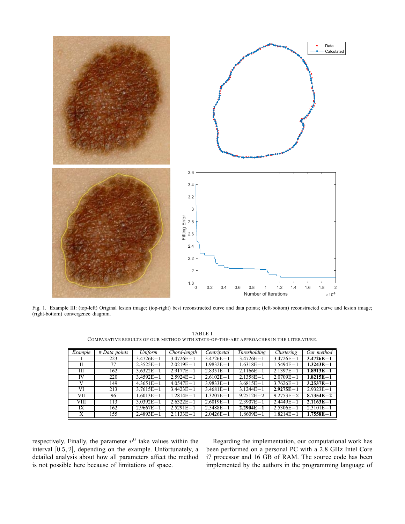

Fig. 1. Example III: (top-left) Original lesion image; (top-right) best reconstructed curve and data points; (left-bottom) reconstructed curve and lesion image; (right-bottom) convergence diagram.

| Example | # Data points | $\overline{Uniform}$ | Chord-length  | Centripetal   | <i>Thresholding</i> | Clustering    | Our method    |
|---------|---------------|----------------------|---------------|---------------|---------------------|---------------|---------------|
|         | 223           | $3.4726E - 1$        | $3.4726E - 1$ | $3.4726E - 1$ | $3.4726E - 1$       | $3.4726E - 1$ | $3.4726E - 1$ |
|         |               |                      |               |               |                     |               |               |
| П       | 77            | $2.3525E - 1$        | $2.0219E - 1$ | $1.9832E - 1$ | $1.6318E - 1$       | $1.5494E - 1$ | $1.3243E - 1$ |
| Ш       | 162           | $3.6322E - 1$        | $2.9177E - 1$ | $2.8351E - 1$ | $2.1166E - 1$       | $2.1397E - 1$ | $1.8913E - 1$ |
| IV      | 220           | $3.4592E - 1$        | $2.5924E - 1$ | $2.6102E - 1$ | $2.1358E - 1$       | $2.0709E - 1$ | $1.8215E - 1$ |
| V       | 149           | $4.3651E - 1$        | $4.0547E - 1$ | $3.9833E - 1$ | $3.6815E - 1$       | $3.7626E - 1$ | $3.2537E - 1$ |
| VI      | 213           | $3.7615E - 1$        | $3.4423E - 1$ | $3.4681E - 1$ | $3.1244E - 1$       | $2.9275E - 1$ | $2.9323E - 1$ |
| VII     | 96            | $1.6013E - 1$        | $1.2814E - 1$ | $1.3207E - 1$ | $9.2512E - 2$       | $9.2753E - 2$ | $8.7354E - 2$ |
| VIII    | 113           | $3.0392E - 1$        | $2.6322E - 1$ | $2.6019E - 1$ | $2.3907E - 1$       | $2.4449E - 1$ | $2.1163E - 1$ |
| IX      | 162           | $2.9667E - 1$        | $2.5291E - 1$ | $2.5488E - 1$ | $2.2904E - 1$       | $2.5306E - 1$ | $2.3101E - 1$ |
| X       | 155           | $2.4893E - 1$        | $2.1133E - 1$ | $2.0426E - 1$ | $1.8609E - 1$       | $1.8214E - 1$ | $1.7558E - 1$ |

TABLE I COMPARATIVE RESULTS OF OUR METHOD WITH STATE-OF-THE-ART APPROACHES IN THE LITERATURE.

respectively. Finally, the parameter  $v^0$  take values within the interval [0.5, 2], depending on the example. Unfortunately, a detailed analysis about how all parameters affect the method is not possible here because of limitations of space.

Regarding the implementation, our computational work has been performed on a personal PC with a 2.8 GHz Intel Core i7 processor and 16 GB of RAM. The source code has been implemented by the authors in the programming language of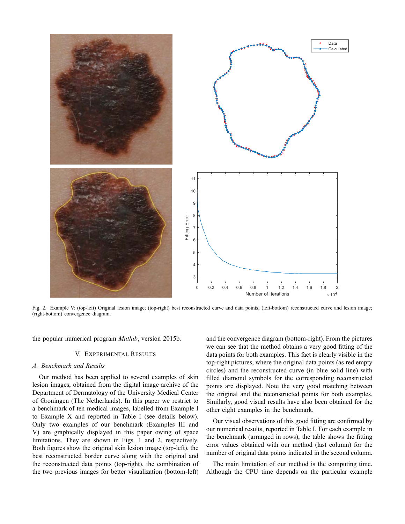

Fig. 2. Example V: (top-left) Original lesion image; (top-right) best reconstructed curve and data points; (left-bottom) reconstructed curve and lesion image; (right-bottom) convergence diagram.

the popular numerical program *Matlab*, version 2015b.

## V. EXPERIMENTAL RESULTS

#### *A. Benchmark and Results*

Our method has been applied to several examples of skin lesion images, obtained from the digital image archive of the Department of Dermatology of the University Medical Center of Groningen (The Netherlands). In this paper we restrict to a benchmark of ten medical images, labelled from Example I to Example X and reported in Table I (see details below). Only two examples of our benchmark (Examples III and V) are graphically displayed in this paper owing of space limitations. They are shown in Figs. 1 and 2, respectively. Both figures show the original skin lesion image (top-left), the best reconstructed border curve along with the original and the reconstructed data points (top-right), the combination of the two previous images for better visualization (bottom-left)

and the convergence diagram (bottom-right). From the pictures we can see that the method obtains a very good fitting of the data points for both examples. This fact is clearly visible in the top-right pictures, where the original data points (as red empty circles) and the reconstructed curve (in blue solid line) with filled diamond symbols for the corresponding reconstructed points are displayed. Note the very good matching between the original and the reconstructed points for both examples. Similarly, good visual results have also been obtained for the other eight examples in the benchmark.

Our visual observations of this good fitting are confirmed by our numerical results, reported in Table I. For each example in the benchmark (arranged in rows), the table shows the fitting error values obtained with our method (last column) for the number of original data points indicated in the second column.

The main limitation of our method is the computing time. Although the CPU time depends on the particular example